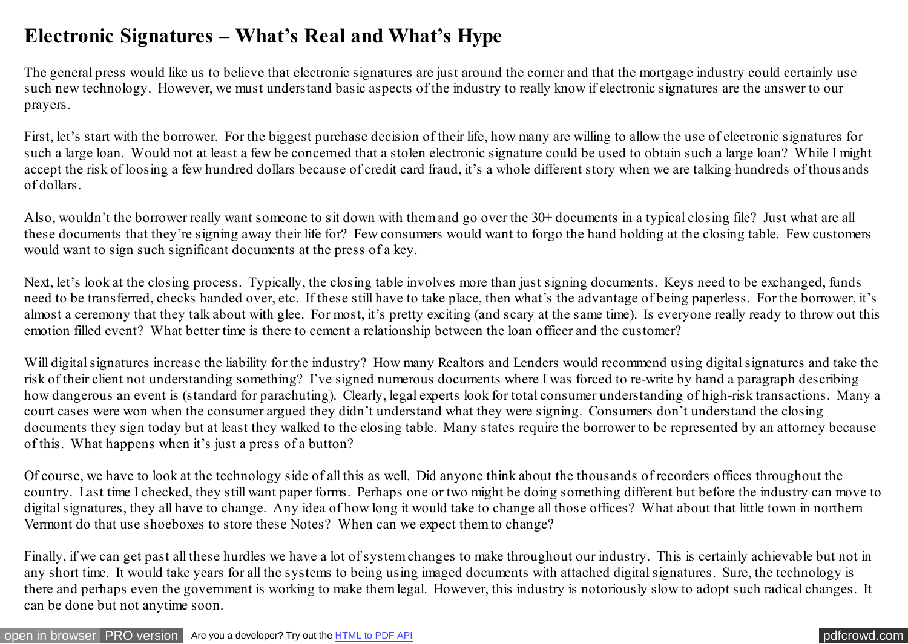## **Electronic Signatures – What's Real and What's Hype**

The general press would like us to believe that electronic signatures are just around the corner and that the mortgage industry could certainly use such new technology. However, we must understand basic aspects of the industry to really know if electronic signatures are the answer to our prayers.

First, let's start with the borrower. For the biggest purchase decision of their life, how many are willing to allow the use of electronic signatures for such a large loan. Would not at least a few be concerned that a stolen electronic signature could be used to obtain such a large loan? While I might accept the risk of loosing a few hundred dollars because of credit card fraud, it's a whole different story when we are talking hundreds of thousands of dollars.

Also, wouldn't the borrower really want someone to sit down with them and go over the 30+ documents in a typical closing file? Just what are all these documents that they're signing away their life for? Few consumers would want to forgo the hand holding at the closing table. Few customers would want to sign such significant documents at the press of a key.

Next, let's look at the closing process. Typically, the closing table involves more than just signing documents. Keys need to be exchanged, funds need to be transferred, checks handed over, etc. If these still have to take place, then what's the advantage of being paperless. For the borrower, it's almost a ceremony that they talk about with glee. For most, it's pretty exciting (and scary at the same time). Is everyone really ready to throw out this emotion filled event? What better time is there to cement a relationship between the loan officer and the customer?

Will digital signatures increase the liability for the industry? How many Realtors and Lenders would recommend using digital signatures and take the risk of their client not understanding something? I've signed numerous documents where I was forced to re-write by hand a paragraph describing how dangerous an event is (standard for parachuting). Clearly, legal experts look for total consumer understanding of high-risk transactions. Many a court cases were won when the consumer argued they didn't understand what they were signing. Consumers don't understand the closing documents they sign today but at least they walked to the closing table. Many states require the borrower to be represented by an attorney because of this. What happens when it's just a press of a button?

Of course, we have to look at the technology side of all this as well. Did anyone think about the thousands of recorders offices throughout the country. Last time I checked, they still want paper forms. Perhaps one or two might be doing something different but before the industry can move to digital signatures, they all have to change. Any idea of how long it would take to change all those offices? What about that little town in northern Vermont do that use shoeboxes to store these Notes? When can we expect them to change?

Finally, if we can get past all these hurdles we have a lot of system changes to make throughout our industry. This is certainly achievable but not in any short time. It would take years for all the systems to being using imaged documents with attached digital signatures. Sure, the technology is there and perhaps even the government is working to make them legal. However, this industry is notoriously slow to adopt such radical changes. It can be done but not anytime soon.